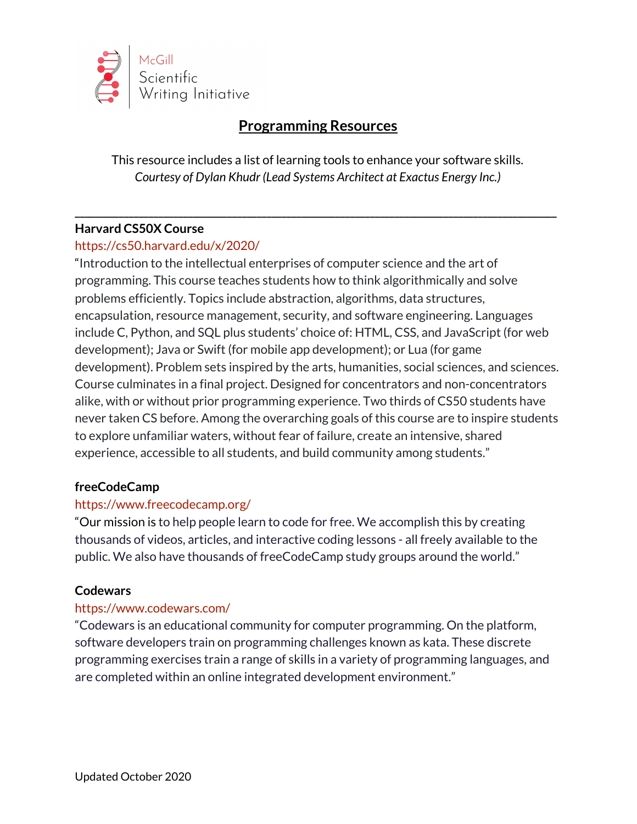

# **Programming Resources**

This resource includes a list of learning tools to enhance your software skills. *Courtesy of Dylan Khudr (Lead Systems Architect at Exactus Energy Inc.)*

**\_\_\_\_\_\_\_\_\_\_\_\_\_\_\_\_\_\_\_\_\_\_\_\_\_\_\_\_\_\_\_\_\_\_\_\_\_\_\_\_\_\_\_\_\_\_\_\_\_\_\_\_\_\_\_\_\_\_\_\_\_\_\_\_\_\_\_\_\_\_\_\_\_\_\_\_\_\_\_\_\_\_\_\_\_\_\_\_\_\_\_\_\_\_\_\_\_\_**

## **Harvard CS50X Course**

# https://cs50.harvard.edu/x/2020/

"Introduction to the intellectual enterprises of computer science and the art of programming. This course teaches students how to think algorithmically and solve problems efficiently. Topics include abstraction, algorithms, data structures, encapsulation, resource management, security, and software engineering. Languages include C, Python, and SQL plus students' choice of: HTML, CSS, and JavaScript (for web development); Java or Swift (for mobile app development); or Lua (for game development). Problem sets inspired by the arts, humanities, social sciences, and sciences. Course culminates in a final project. Designed for concentrators and non-concentrators alike, with or without prior programming experience. Two thirds of CS50 students have never taken CS before. Among the overarching goals of this course are to inspire students to explore unfamiliar waters, without fear of failure, create an intensive, shared experience, accessible to all students, and build community among students."

#### **freeCodeCamp**

#### <https://www.freecodecamp.org/>

"Our mission is to help people learn to code for free. We accomplish this by creating thousands of videos, articles, and interactive coding lessons - all freely available to the public. We also have thousands of freeCodeCamp study groups around the world."

#### **Codewars**

#### <https://www.codewars.com/>

"Codewars is an educational community for computer programming. On the platform, software developers train on programming challenges known as kata. These discrete programming exercises train a range of skills in a variety of programming languages, and are completed within an online integrated development environment."